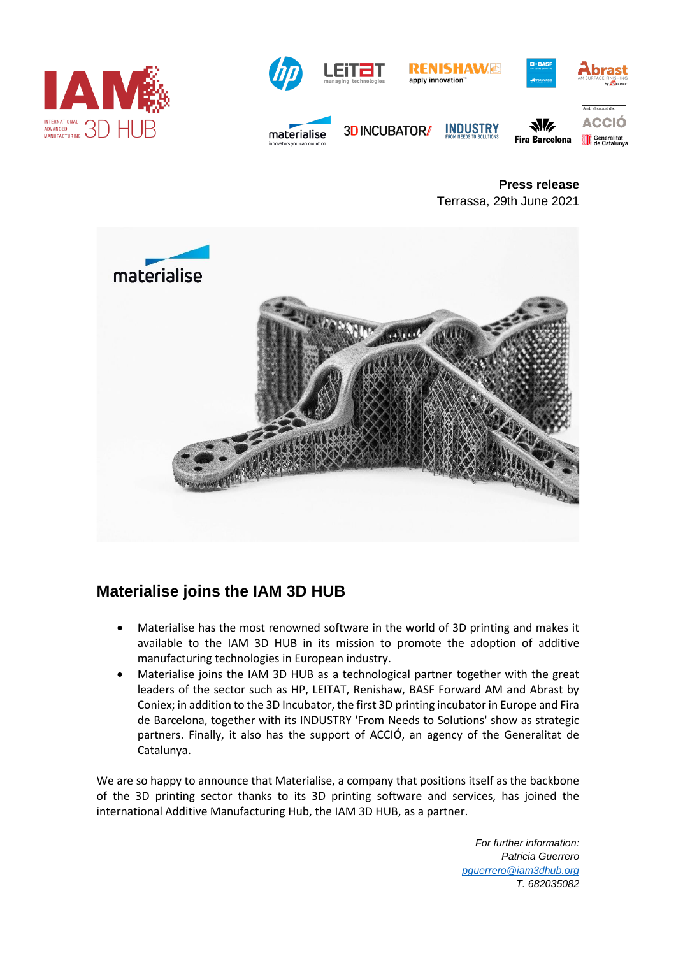



**Press release** Terrassa, 29th June 2021



## **Materialise joins the IAM 3D HUB**

- Materialise has the most renowned software in the world of 3D printing and makes it available to the IAM 3D HUB in its mission to promote the adoption of additive manufacturing technologies in European industry.
- Materialise joins the IAM 3D HUB as a technological partner together with the great leaders of the sector such as HP, LEITAT, Renishaw, BASF Forward AM and Abrast by Coniex; in addition to the 3D Incubator, the first 3D printing incubator in Europe and Fira de Barcelona, together with its INDUSTRY 'From Needs to Solutions' show as strategic partners. Finally, it also has the support of ACCIÓ, an agency of the Generalitat de Catalunya.

We are so happy to announce that Materialise, a company that positions itself as the backbone of the 3D printing sector thanks to its 3D printing software and services, has joined the international Additive Manufacturing Hub, the IAM 3D HUB, as a partner.

> *For further information: Patricia Guerrero [pguerrero@iam3dhub.org](mailto:pguerrero@iam3dhub.org) T. 682035082*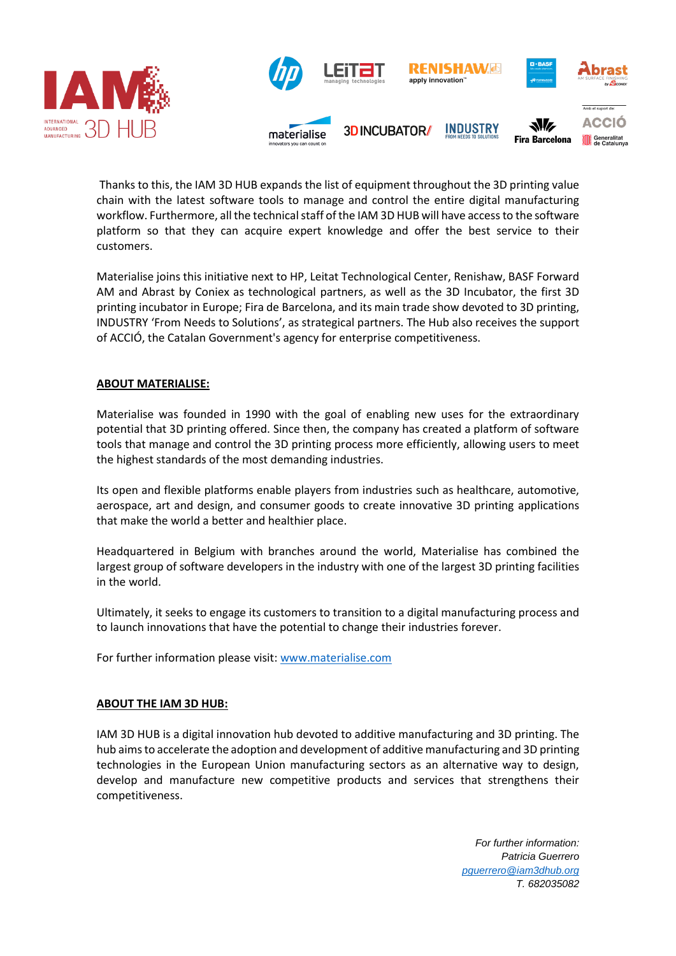

Thanks to this, the IAM 3D HUB expands the list of equipment throughout the 3D printing value chain with the latest software tools to manage and control the entire digital manufacturing workflow. Furthermore, all the technical staff of the IAM 3D HUB will have access to the software platform so that they can acquire expert knowledge and offer the best service to their customers.

Materialise joins this initiative next to HP, Leitat Technological Center, Renishaw, BASF Forward AM and Abrast by Coniex as technological partners, as well as the 3D Incubator, the first 3D printing incubator in Europe; Fira de Barcelona, and its main trade show devoted to 3D printing, INDUSTRY 'From Needs to Solutions', as strategical partners. The Hub also receives the support of ACCIÓ, the Catalan Government's agency for enterprise competitiveness.

## **ABOUT MATERIALISE:**

Materialise was founded in 1990 with the goal of enabling new uses for the extraordinary potential that 3D printing offered. Since then, the company has created a platform of software tools that manage and control the 3D printing process more efficiently, allowing users to meet the highest standards of the most demanding industries.

Its open and flexible platforms enable players from industries such as healthcare, automotive, aerospace, art and design, and consumer goods to create innovative 3D printing applications that make the world a better and healthier place.

Headquartered in Belgium with branches around the world, Materialise has combined the largest group of software developers in the industry with one of the largest 3D printing facilities in the world.

Ultimately, it seeks to engage its customers to transition to a digital manufacturing process and to launch innovations that have the potential to change their industries forever.

For further information please visit: [www.materialise.com](http://www.materialise.com/)

## **ABOUT THE IAM 3D HUB:**

IAM 3D HUB is a digital innovation hub devoted to additive manufacturing and 3D printing. The hub aims to accelerate the adoption and development of additive manufacturing and 3D printing technologies in the European Union manufacturing sectors as an alternative way to design, develop and manufacture new competitive products and services that strengthens their competitiveness.